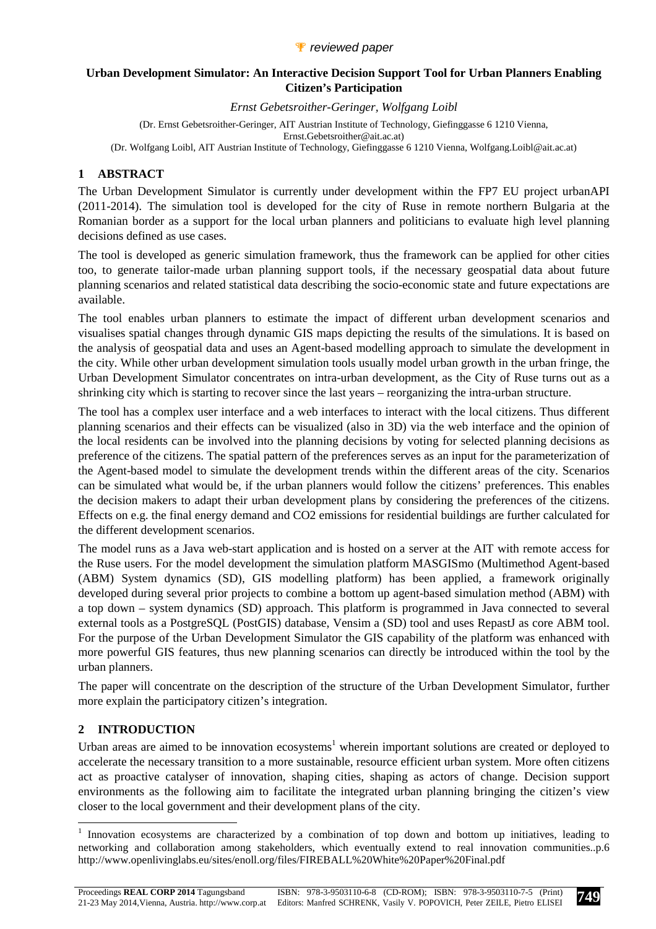#### *P* reviewed paper

#### **Urban Development Simulator: An Interactive Decision Support Tool for Urban Planners Enabling Citizen's Participation**

*Ernst Gebetsroither-Geringer, Wolfgang Loibl* 

(Dr. Ernst Gebetsroither-Geringer, AIT Austrian Institute of Technology, Giefinggasse 6 1210 Vienna, Ernst.Gebetsroither@ait.ac.at) (Dr. Wolfgang Loibl, AIT Austrian Institute of Technology, Giefinggasse 6 1210 Vienna, Wolfgang.Loibl@ait.ac.at)

# **1 ABSTRACT**

The Urban Development Simulator is currently under development within the FP7 EU project urbanAPI (2011-2014). The simulation tool is developed for the city of Ruse in remote northern Bulgaria at the Romanian border as a support for the local urban planners and politicians to evaluate high level planning decisions defined as use cases.

The tool is developed as generic simulation framework, thus the framework can be applied for other cities too, to generate tailor-made urban planning support tools, if the necessary geospatial data about future planning scenarios and related statistical data describing the socio-economic state and future expectations are available.

The tool enables urban planners to estimate the impact of different urban development scenarios and visualises spatial changes through dynamic GIS maps depicting the results of the simulations. It is based on the analysis of geospatial data and uses an Agent-based modelling approach to simulate the development in the city. While other urban development simulation tools usually model urban growth in the urban fringe, the Urban Development Simulator concentrates on intra-urban development, as the City of Ruse turns out as a shrinking city which is starting to recover since the last years – reorganizing the intra-urban structure.

The tool has a complex user interface and a web interfaces to interact with the local citizens. Thus different planning scenarios and their effects can be visualized (also in 3D) via the web interface and the opinion of the local residents can be involved into the planning decisions by voting for selected planning decisions as preference of the citizens. The spatial pattern of the preferences serves as an input for the parameterization of the Agent-based model to simulate the development trends within the different areas of the city. Scenarios can be simulated what would be, if the urban planners would follow the citizens' preferences. This enables the decision makers to adapt their urban development plans by considering the preferences of the citizens. Effects on e.g. the final energy demand and CO2 emissions for residential buildings are further calculated for the different development scenarios.

The model runs as a Java web-start application and is hosted on a server at the AIT with remote access for the Ruse users. For the model development the simulation platform MASGISmo (Multimethod Agent-based (ABM) System dynamics (SD), GIS modelling platform) has been applied, a framework originally developed during several prior projects to combine a bottom up agent-based simulation method (ABM) with a top down – system dynamics (SD) approach. This platform is programmed in Java connected to several external tools as a PostgreSQL (PostGIS) database, Vensim a (SD) tool and uses RepastJ as core ABM tool. For the purpose of the Urban Development Simulator the GIS capability of the platform was enhanced with more powerful GIS features, thus new planning scenarios can directly be introduced within the tool by the urban planners.

The paper will concentrate on the description of the structure of the Urban Development Simulator, further more explain the participatory citizen's integration.

## **2 INTRODUCTION**

l

Urban areas are aimed to be innovation ecosystems<sup>1</sup> wherein important solutions are created or deployed to accelerate the necessary transition to a more sustainable, resource efficient urban system. More often citizens act as proactive catalyser of innovation, shaping cities, shaping as actors of change. Decision support environments as the following aim to facilitate the integrated urban planning bringing the citizen's view closer to the local government and their development plans of the city.

<sup>&</sup>lt;sup>1</sup> Innovation ecosystems are characterized by a combination of top down and bottom up initiatives, leading to networking and collaboration among stakeholders, which eventually extend to real innovation communities..p.6 http://www.openlivinglabs.eu/sites/enoll.org/files/FIREBALL%20White%20Paper%20Final.pdf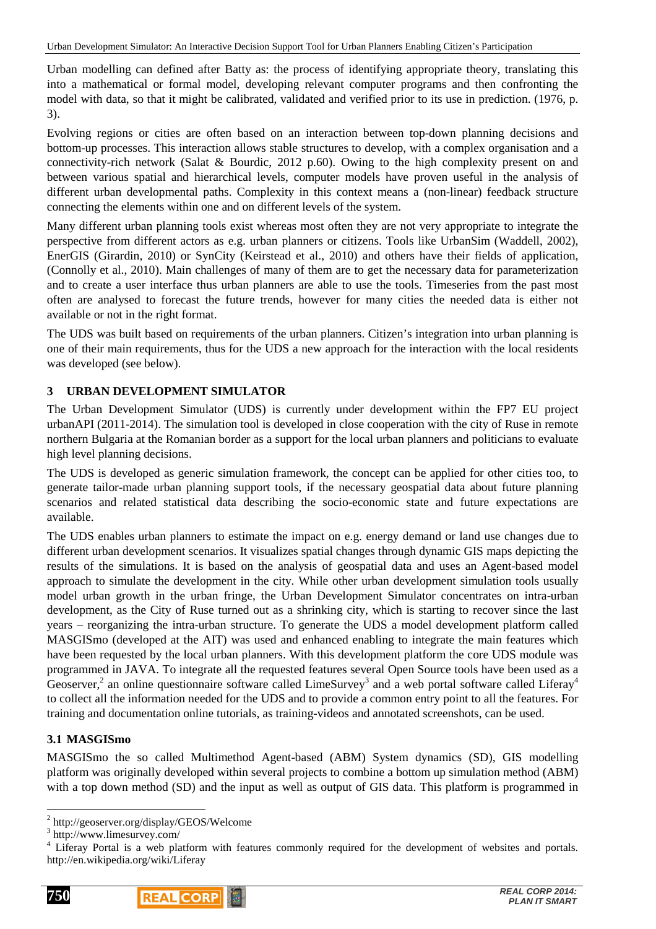Urban modelling can defined after Batty as: the process of identifying appropriate theory, translating this into a mathematical or formal model, developing relevant computer programs and then confronting the model with data, so that it might be calibrated, validated and verified prior to its use in prediction. (1976, p. 3).

Evolving regions or cities are often based on an interaction between top-down planning decisions and bottom-up processes. This interaction allows stable structures to develop, with a complex organisation and a connectivity-rich network (Salat & Bourdic, 2012 p.60). Owing to the high complexity present on and between various spatial and hierarchical levels, computer models have proven useful in the analysis of different urban developmental paths. Complexity in this context means a (non-linear) feedback structure connecting the elements within one and on different levels of the system.

Many different urban planning tools exist whereas most often they are not very appropriate to integrate the perspective from different actors as e.g. urban planners or citizens. Tools like UrbanSim (Waddell, 2002), EnerGIS (Girardin, 2010) or SynCity (Keirstead et al., 2010) and others have their fields of application, (Connolly et al., 2010). Main challenges of many of them are to get the necessary data for parameterization and to create a user interface thus urban planners are able to use the tools. Timeseries from the past most often are analysed to forecast the future trends, however for many cities the needed data is either not available or not in the right format.

The UDS was built based on requirements of the urban planners. Citizen's integration into urban planning is one of their main requirements, thus for the UDS a new approach for the interaction with the local residents was developed (see below).

# **3 URBAN DEVELOPMENT SIMULATOR**

The Urban Development Simulator (UDS) is currently under development within the FP7 EU project urbanAPI (2011-2014). The simulation tool is developed in close cooperation with the city of Ruse in remote northern Bulgaria at the Romanian border as a support for the local urban planners and politicians to evaluate high level planning decisions.

The UDS is developed as generic simulation framework, the concept can be applied for other cities too, to generate tailor-made urban planning support tools, if the necessary geospatial data about future planning scenarios and related statistical data describing the socio-economic state and future expectations are available.

The UDS enables urban planners to estimate the impact on e.g. energy demand or land use changes due to different urban development scenarios. It visualizes spatial changes through dynamic GIS maps depicting the results of the simulations. It is based on the analysis of geospatial data and uses an Agent-based model approach to simulate the development in the city. While other urban development simulation tools usually model urban growth in the urban fringe, the Urban Development Simulator concentrates on intra-urban development, as the City of Ruse turned out as a shrinking city, which is starting to recover since the last years – reorganizing the intra-urban structure. To generate the UDS a model development platform called MASGISmo (developed at the AIT) was used and enhanced enabling to integrate the main features which have been requested by the local urban planners. With this development platform the core UDS module was programmed in JAVA. To integrate all the requested features several Open Source tools have been used as a Geoserver,<sup>2</sup> an online questionnaire software called LimeSurvey<sup>3</sup> and a web portal software called Liferay<sup>4</sup> to collect all the information needed for the UDS and to provide a common entry point to all the features. For training and documentation online tutorials, as training-videos and annotated screenshots, can be used.

## **3.1 MASGISmo**

MASGISmo the so called Multimethod Agent-based (ABM) System dynamics (SD), GIS modelling platform was originally developed within several projects to combine a bottom up simulation method (ABM) with a top down method (SD) and the input as well as output of GIS data. This platform is programmed in



 2 http://geoserver.org/display/GEOS/Welcome

<sup>3</sup> http://www.limesurvey.com/

<sup>&</sup>lt;sup>4</sup> Liferay Portal is a web platform with features commonly required for the development of websites and portals. http://en.wikipedia.org/wiki/Liferay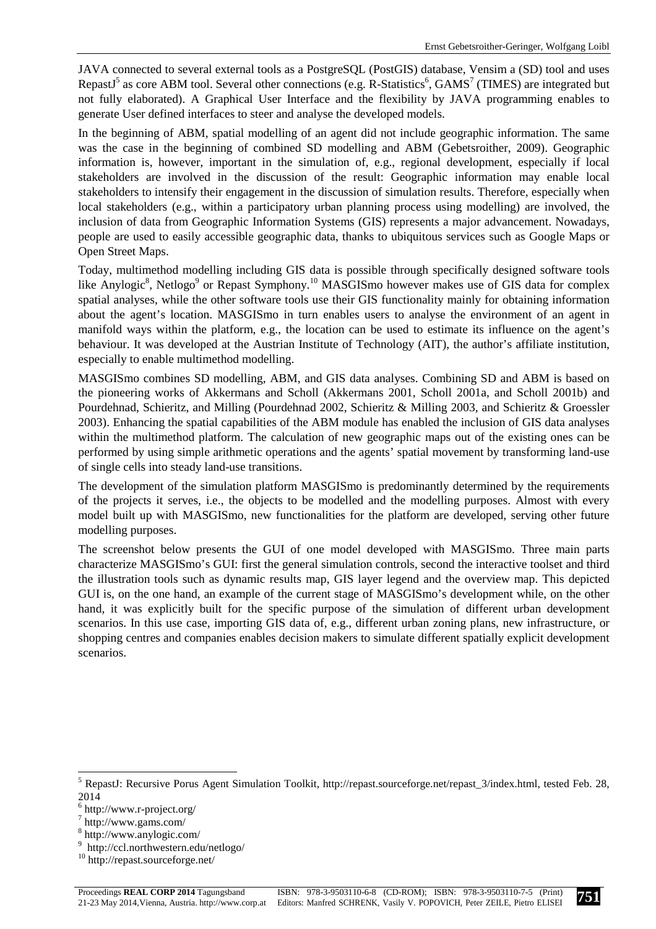JAVA connected to several external tools as a PostgreSQL (PostGIS) database, Vensim a (SD) tool and uses RepastJ<sup>5</sup> as core ABM tool. Several other connections (e.g. R-Statistics<sup>6</sup>, GAMS<sup>7</sup> (TIMES) are integrated but not fully elaborated). A Graphical User Interface and the flexibility by JAVA programming enables to generate User defined interfaces to steer and analyse the developed models.

In the beginning of ABM, spatial modelling of an agent did not include geographic information. The same was the case in the beginning of combined SD modelling and ABM (Gebetsroither, 2009). Geographic information is, however, important in the simulation of, e.g., regional development, especially if local stakeholders are involved in the discussion of the result: Geographic information may enable local stakeholders to intensify their engagement in the discussion of simulation results. Therefore, especially when local stakeholders (e.g., within a participatory urban planning process using modelling) are involved, the inclusion of data from Geographic Information Systems (GIS) represents a major advancement. Nowadays, people are used to easily accessible geographic data, thanks to ubiquitous services such as Google Maps or Open Street Maps.

Today, multimethod modelling including GIS data is possible through specifically designed software tools like Anylogic<sup>8</sup>, Netlogo<sup>9</sup> or Repast Symphony.<sup>10</sup> MASGISmo however makes use of GIS data for complex spatial analyses, while the other software tools use their GIS functionality mainly for obtaining information about the agent's location. MASGISmo in turn enables users to analyse the environment of an agent in manifold ways within the platform, e.g., the location can be used to estimate its influence on the agent's behaviour. It was developed at the Austrian Institute of Technology (AIT), the author's affiliate institution, especially to enable multimethod modelling.

MASGISmo combines SD modelling, ABM, and GIS data analyses. Combining SD and ABM is based on the pioneering works of Akkermans and Scholl (Akkermans 2001, Scholl 2001a, and Scholl 2001b) and Pourdehnad, Schieritz, and Milling (Pourdehnad 2002, Schieritz & Milling 2003, and Schieritz & Groessler 2003). Enhancing the spatial capabilities of the ABM module has enabled the inclusion of GIS data analyses within the multimethod platform. The calculation of new geographic maps out of the existing ones can be performed by using simple arithmetic operations and the agents' spatial movement by transforming land-use of single cells into steady land-use transitions.

The development of the simulation platform MASGISmo is predominantly determined by the requirements of the projects it serves, i.e., the objects to be modelled and the modelling purposes. Almost with every model built up with MASGISmo, new functionalities for the platform are developed, serving other future modelling purposes.

The screenshot below presents the GUI of one model developed with MASGISmo. Three main parts characterize MASGISmo's GUI: first the general simulation controls, second the interactive toolset and third the illustration tools such as dynamic results map, GIS layer legend and the overview map. This depicted GUI is, on the one hand, an example of the current stage of MASGISmo's development while, on the other hand, it was explicitly built for the specific purpose of the simulation of different urban development scenarios. In this use case, importing GIS data of, e.g., different urban zoning plans, new infrastructure, or shopping centres and companies enables decision makers to simulate different spatially explicit development scenarios.

 $\overline{a}$ 

<sup>&</sup>lt;sup>5</sup> RepastJ: Recursive Porus Agent Simulation Toolkit, http://repast.sourceforge.net/repast\_3/index.html, tested Feb. 28, 2014

<sup>6</sup> http://www.r-project.org/

<sup>7</sup> http://www.gams.com/

<sup>8</sup> http://www.anylogic.com/

<sup>9</sup> http://ccl.northwestern.edu/netlogo/

<sup>10</sup> http://repast.sourceforge.net/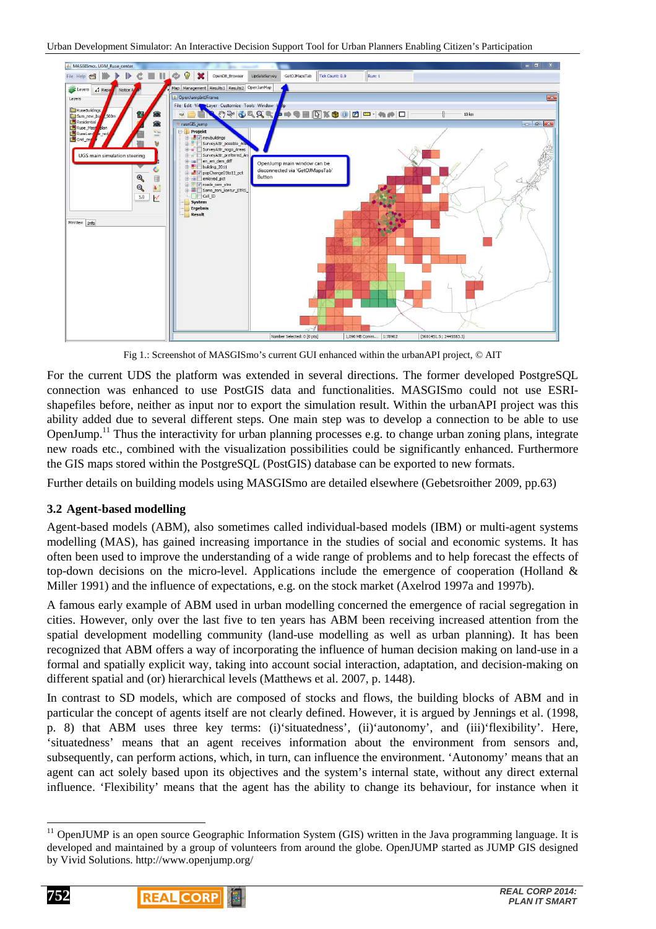Urban Development Simulator: An Interactive Decision Support Tool for Urban Planners Enabling Citizen's Participation



Fig 1.: Screenshot of MASGISmo's current GUI enhanced within the urbanAPI project, © AIT

For the current UDS the platform was extended in several directions. The former developed PostgreSQL connection was enhanced to use PostGIS data and functionalities. MASGISmo could not use ESRIshapefiles before, neither as input nor to export the simulation result. Within the urbanAPI project was this ability added due to several different steps. One main step was to develop a connection to be able to use OpenJump.<sup>11</sup> Thus the interactivity for urban planning processes e.g. to change urban zoning plans, integrate new roads etc., combined with the visualization possibilities could be significantly enhanced. Furthermore the GIS maps stored within the PostgreSQL (PostGIS) database can be exported to new formats.

Further details on building models using MASGISmo are detailed elsewhere (Gebetsroither 2009, pp.63)

## **3.2 Agent-based modelling**

Agent-based models (ABM), also sometimes called individual-based models (IBM) or multi-agent systems modelling (MAS), has gained increasing importance in the studies of social and economic systems. It has often been used to improve the understanding of a wide range of problems and to help forecast the effects of top-down decisions on the micro-level. Applications include the emergence of cooperation (Holland  $\&$ Miller 1991) and the influence of expectations, e.g. on the stock market (Axelrod 1997a and 1997b).

A famous early example of ABM used in urban modelling concerned the emergence of racial segregation in cities. However, only over the last five to ten years has ABM been receiving increased attention from the spatial development modelling community (land-use modelling as well as urban planning). It has been recognized that ABM offers a way of incorporating the influence of human decision making on land-use in a formal and spatially explicit way, taking into account social interaction, adaptation, and decision-making on different spatial and (or) hierarchical levels (Matthews et al. 2007, p. 1448).

In contrast to SD models, which are composed of stocks and flows, the building blocks of ABM and in particular the concept of agents itself are not clearly defined. However, it is argued by Jennings et al. (1998, p. 8) that ABM uses three key terms: (i)'situatedness', (ii)'autonomy', and (iii)'flexibility'. Here, 'situatedness' means that an agent receives information about the environment from sensors and, subsequently, can perform actions, which, in turn, can influence the environment. 'Autonomy' means that an agent can act solely based upon its objectives and the system's internal state, without any direct external influence. 'Flexibility' means that the agent has the ability to change its behaviour, for instance when it



l  $11$  OpenJUMP is an open source Geographic Information System (GIS) written in the Java programming language. It is developed and maintained by a group of volunteers from around the globe. OpenJUMP started as JUMP GIS designed by Vivid Solutions. http://www.openjump.org/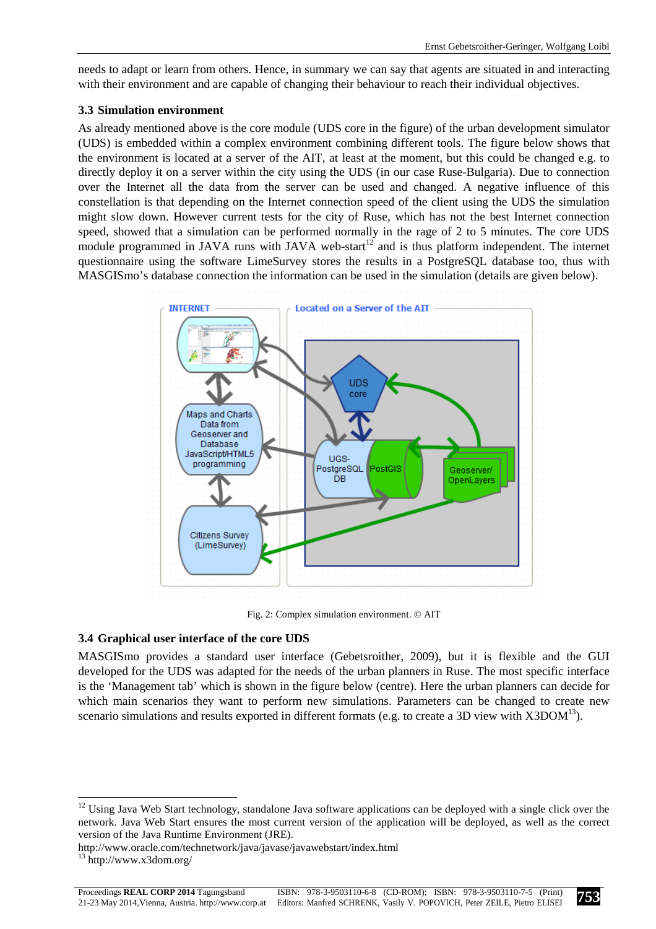needs to adapt or learn from others. Hence, in summary we can say that agents are situated in and interacting with their environment and are capable of changing their behaviour to reach their individual objectives.

#### **3.3 Simulation environment**

As already mentioned above is the core module (UDS core in the figure) of the urban development simulator (UDS) is embedded within a complex environment combining different tools. The figure below shows that the environment is located at a server of the AIT, at least at the moment, but this could be changed e.g. to directly deploy it on a server within the city using the UDS (in our case Ruse-Bulgaria). Due to connection over the Internet all the data from the server can be used and changed. A negative influence of this constellation is that depending on the Internet connection speed of the client using the UDS the simulation might slow down. However current tests for the city of Ruse, which has not the best Internet connection speed, showed that a simulation can be performed normally in the rage of 2 to 5 minutes. The core UDS module programmed in JAVA runs with JAVA web-start<sup>12</sup> and is thus platform independent. The internet questionnaire using the software LimeSurvey stores the results in a PostgreSQL database too, thus with MASGISmo's database connection the information can be used in the simulation (details are given below).



Fig. 2: Complex simulation environment. © AIT

## **3.4 Graphical user interface of the core UDS**

MASGISmo provides a standard user interface (Gebetsroither, 2009), but it is flexible and the GUI developed for the UDS was adapted for the needs of the urban planners in Ruse. The most specific interface is the 'Management tab' which is shown in the figure below (centre). Here the urban planners can decide for which main scenarios they want to perform new simulations. Parameters can be changed to create new scenario simulations and results exported in different formats (e.g. to create a 3D view with X3DOM<sup>13</sup>).

http://www.oracle.com/technetwork/java/javase/javawebstart/index.html

 $\overline{a}$ 

<sup>&</sup>lt;sup>12</sup> Using Java Web Start technology, standalone Java software applications can be deployed with a single click over the network. Java Web Start ensures the most current version of the application will be deployed, as well as the correct version of the Java Runtime Environment (JRE).

<sup>13</sup> http://www.x3dom.org/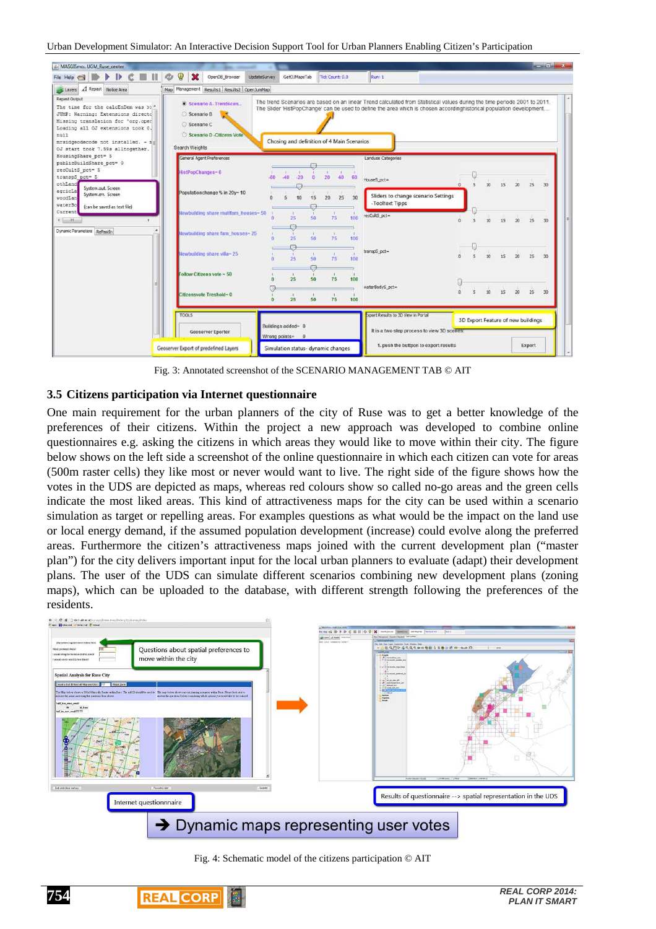Urban Development Simulator: An Interactive Decision Support Tool for Urban Planners Enabling Citizen's Participation



Fig. 3: Annotated screenshot of the SCENARIO MANAGEMENT TAB © AIT

#### **3.5 Citizens participation via Internet questionnaire**

One main requirement for the urban planners of the city of Ruse was to get a better knowledge of the preferences of their citizens. Within the project a new approach was developed to combine online questionnaires e.g. asking the citizens in which areas they would like to move within their city. The figure below shows on the left side a screenshot of the online questionnaire in which each citizen can vote for areas (500m raster cells) they like most or never would want to live. The right side of the figure shows how the votes in the UDS are depicted as maps, whereas red colours show so called no-go areas and the green cells indicate the most liked areas. This kind of attractiveness maps for the city can be used within a scenario simulation as target or repelling areas. For examples questions as what would be the impact on the land use or local energy demand, if the assumed population development (increase) could evolve along the preferred areas. Furthermore the citizen's attractiveness maps joined with the current development plan ("master plan") for the city delivers important input for the local urban planners to evaluate (adapt) their development plans. The user of the UDS can simulate different scenarios combining new development plans (zoning maps), which can be uploaded to the database, with different strength following the preferences of the residents.



Fig. 4: Schematic model of the citizens participation © AIT



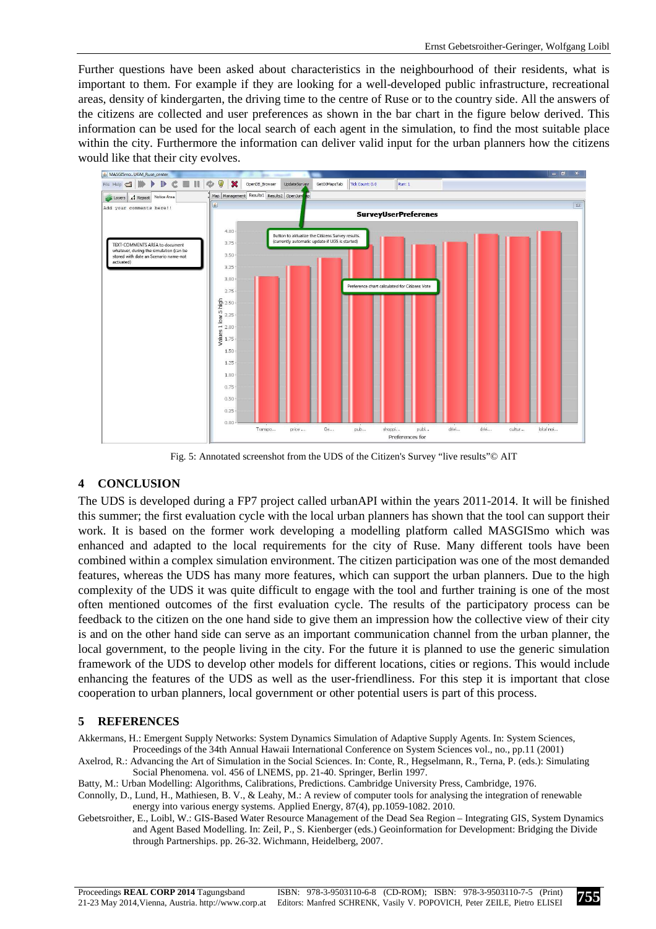Further questions have been asked about characteristics in the neighbourhood of their residents, what is important to them. For example if they are looking for a well-developed public infrastructure, recreational areas, density of kindergarten, the driving time to the centre of Ruse or to the country side. All the answers of the citizens are collected and user preferences as shown in the bar chart in the figure below derived. This information can be used for the local search of each agent in the simulation, to find the most suitable place within the city. Furthermore the information can deliver valid input for the urban planners how the citizens would like that their city evolves.



Fig. 5: Annotated screenshot from the UDS of the Citizen's Survey "live results"© AIT

## **4 CONCLUSION**

The UDS is developed during a FP7 project called urbanAPI within the years 2011-2014. It will be finished this summer; the first evaluation cycle with the local urban planners has shown that the tool can support their work. It is based on the former work developing a modelling platform called MASGISmo which was enhanced and adapted to the local requirements for the city of Ruse. Many different tools have been combined within a complex simulation environment. The citizen participation was one of the most demanded features, whereas the UDS has many more features, which can support the urban planners. Due to the high complexity of the UDS it was quite difficult to engage with the tool and further training is one of the most often mentioned outcomes of the first evaluation cycle. The results of the participatory process can be feedback to the citizen on the one hand side to give them an impression how the collective view of their city is and on the other hand side can serve as an important communication channel from the urban planner, the local government, to the people living in the city. For the future it is planned to use the generic simulation framework of the UDS to develop other models for different locations, cities or regions. This would include enhancing the features of the UDS as well as the user-friendliness. For this step it is important that close cooperation to urban planners, local government or other potential users is part of this process.

## **5 REFERENCES**

Akkermans, H.: Emergent Supply Networks: System Dynamics Simulation of Adaptive Supply Agents. In: System Sciences, Proceedings of the 34th Annual Hawaii International Conference on System Sciences vol., no., pp.11 (2001)

Axelrod, R.: Advancing the Art of Simulation in the Social Sciences. In: Conte, R., Hegselmann, R., Terna, P. (eds.): Simulating Social Phenomena. vol. 456 of LNEMS, pp. 21-40. Springer, Berlin 1997.

Batty, M.: Urban Modelling: Algorithms, Calibrations, Predictions. Cambridge University Press, Cambridge, 1976.

Connolly, D., Lund, H., Mathiesen, B. V., & Leahy, M.: A review of computer tools for analysing the integration of renewable energy into various energy systems. Applied Energy, 87(4), pp.1059-1082. 2010.

Gebetsroither, E., Loibl, W.: GIS-Based Water Resource Management of the Dead Sea Region – Integrating GIS, System Dynamics and Agent Based Modelling. In: Zeil, P., S. Kienberger (eds.) Geoinformation for Development: Bridging the Divide through Partnerships. pp. 26-32. Wichmann, Heidelberg, 2007.